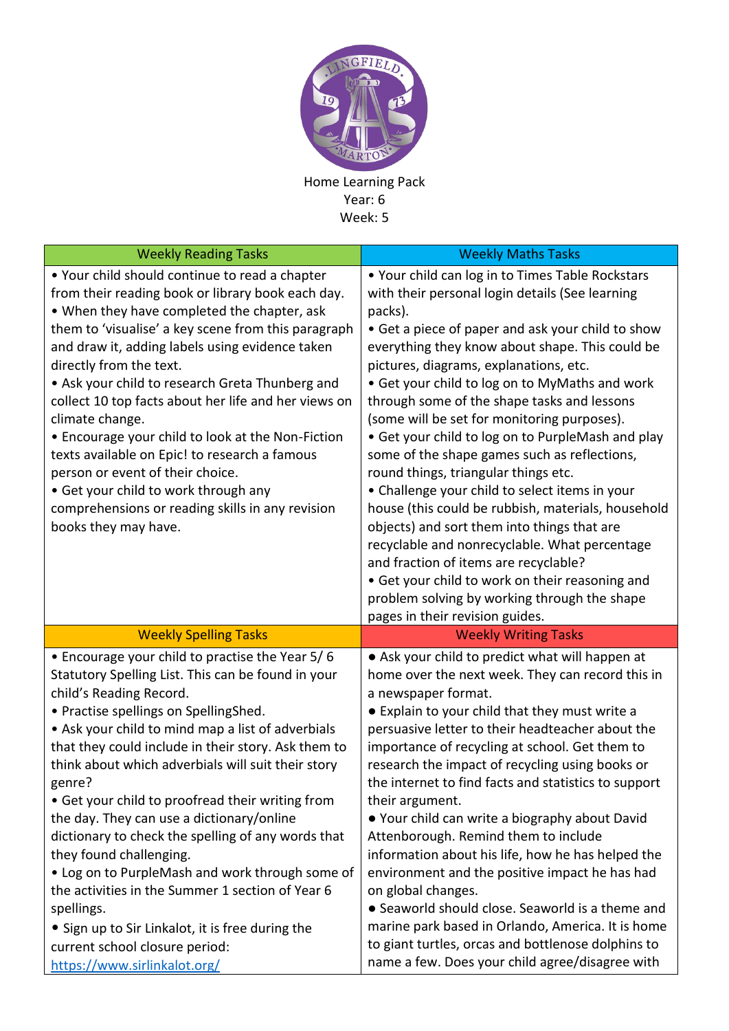

Home Learning Pack Year: 6 Week: 5

| <b>Weekly Reading Tasks</b>                                                                                                                                                                                                                                                                                                                                                                                                                                                                                                                                                                                                                                 | <b>Weekly Maths Tasks</b>                                                                                                                                                                                                                                                                                                                                                                                                                                                                                                                                                                                                                                             |
|-------------------------------------------------------------------------------------------------------------------------------------------------------------------------------------------------------------------------------------------------------------------------------------------------------------------------------------------------------------------------------------------------------------------------------------------------------------------------------------------------------------------------------------------------------------------------------------------------------------------------------------------------------------|-----------------------------------------------------------------------------------------------------------------------------------------------------------------------------------------------------------------------------------------------------------------------------------------------------------------------------------------------------------------------------------------------------------------------------------------------------------------------------------------------------------------------------------------------------------------------------------------------------------------------------------------------------------------------|
| . Your child should continue to read a chapter<br>from their reading book or library book each day.<br>. When they have completed the chapter, ask<br>them to 'visualise' a key scene from this paragraph<br>and draw it, adding labels using evidence taken<br>directly from the text.<br>• Ask your child to research Greta Thunberg and<br>collect 10 top facts about her life and her views on<br>climate change.<br>• Encourage your child to look at the Non-Fiction<br>texts available on Epic! to research a famous<br>person or event of their choice.<br>• Get your child to work through any<br>comprehensions or reading skills in any revision | . Your child can log in to Times Table Rockstars<br>with their personal login details (See learning<br>packs).<br>• Get a piece of paper and ask your child to show<br>everything they know about shape. This could be<br>pictures, diagrams, explanations, etc.<br>• Get your child to log on to MyMaths and work<br>through some of the shape tasks and lessons<br>(some will be set for monitoring purposes).<br>• Get your child to log on to PurpleMash and play<br>some of the shape games such as reflections,<br>round things, triangular things etc.<br>• Challenge your child to select items in your<br>house (this could be rubbish, materials, household |
| books they may have.                                                                                                                                                                                                                                                                                                                                                                                                                                                                                                                                                                                                                                        | objects) and sort them into things that are<br>recyclable and nonrecyclable. What percentage<br>and fraction of items are recyclable?<br>• Get your child to work on their reasoning and<br>problem solving by working through the shape<br>pages in their revision guides.                                                                                                                                                                                                                                                                                                                                                                                           |
| <b>Weekly Spelling Tasks</b>                                                                                                                                                                                                                                                                                                                                                                                                                                                                                                                                                                                                                                |                                                                                                                                                                                                                                                                                                                                                                                                                                                                                                                                                                                                                                                                       |
|                                                                                                                                                                                                                                                                                                                                                                                                                                                                                                                                                                                                                                                             | <b>Weekly Writing Tasks</b>                                                                                                                                                                                                                                                                                                                                                                                                                                                                                                                                                                                                                                           |
| • Encourage your child to practise the Year 5/6<br>Statutory Spelling List. This can be found in your<br>child's Reading Record.<br>• Practise spellings on SpellingShed.<br>• Ask your child to mind map a list of adverbials<br>that they could include in their story. Ask them to<br>think about which adverbials will suit their story<br>genre?<br>• Get your child to proofread their writing from<br>the day. They can use a dictionary/online<br>dictionary to check the spelling of any words that<br>they found challenging.<br>• Log on to PurpleMash and work through some of<br>the activities in the Summer 1 section of Year 6              | • Ask your child to predict what will happen at<br>home over the next week. They can record this in<br>a newspaper format.<br>• Explain to your child that they must write a<br>persuasive letter to their headteacher about the<br>importance of recycling at school. Get them to<br>research the impact of recycling using books or<br>the internet to find facts and statistics to support<br>their argument.<br>• Your child can write a biography about David<br>Attenborough. Remind them to include<br>information about his life, how he has helped the<br>environment and the positive impact he has had<br>on global changes.                               |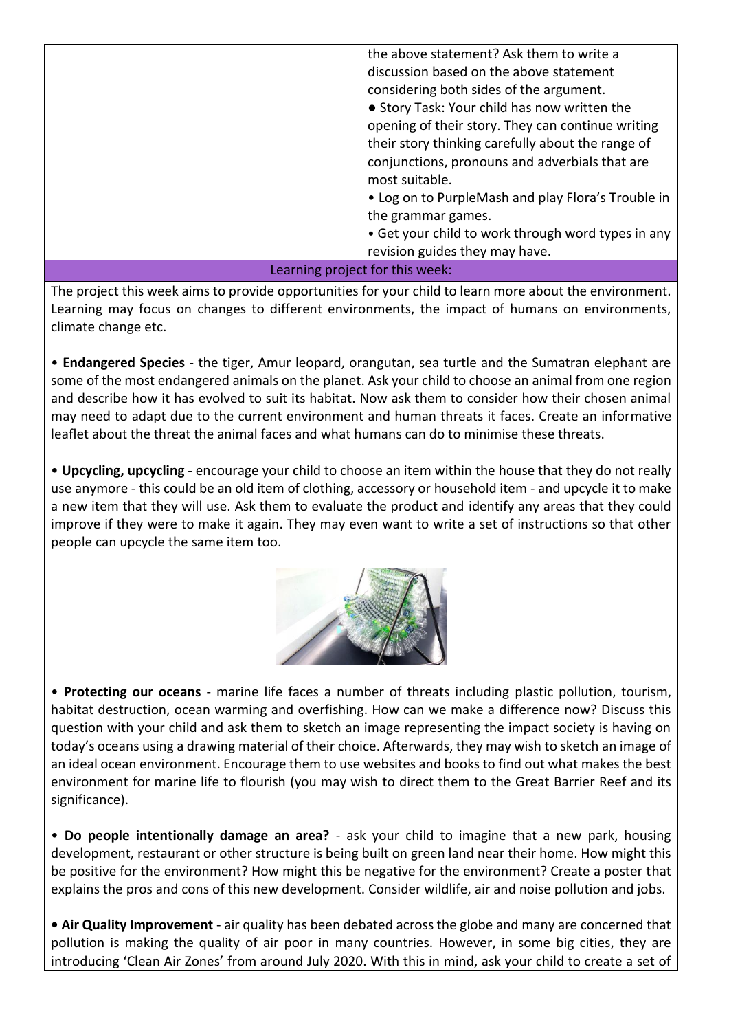|                                 | the above statement? Ask them to write a           |
|---------------------------------|----------------------------------------------------|
|                                 | discussion based on the above statement            |
|                                 | considering both sides of the argument.            |
|                                 | • Story Task: Your child has now written the       |
|                                 | opening of their story. They can continue writing  |
|                                 | their story thinking carefully about the range of  |
|                                 | conjunctions, pronouns and adverbials that are     |
|                                 | most suitable.                                     |
|                                 | • Log on to PurpleMash and play Flora's Trouble in |
|                                 | the grammar games.                                 |
|                                 | • Get your child to work through word types in any |
|                                 | revision guides they may have.                     |
| Learning project for this week: |                                                    |

The project this week aims to provide opportunities for your child to learn more about the environment. Learning may focus on changes to different environments, the impact of humans on environments, climate change etc.

• **Endangered Species** - the tiger, Amur leopard, orangutan, sea turtle and the Sumatran elephant are some of the most endangered animals on the planet. Ask your child to choose an animal from one region and describe how it has evolved to suit its habitat. Now ask them to consider how their chosen animal may need to adapt due to the current environment and human threats it faces. Create an informative leaflet about the threat the animal faces and what humans can do to minimise these threats.

• **Upcycling, upcycling** - encourage your child to choose an item within the house that they do not really use anymore - this could be an old item of clothing, accessory or household item - and upcycle it to make a new item that they will use. Ask them to evaluate the product and identify any areas that they could improve if they were to make it again. They may even want to write a set of instructions so that other people can upcycle the same item too.



• **Protecting our oceans** - marine life faces a number of threats including plastic pollution, tourism, habitat destruction, ocean warming and overfishing. How can we make a difference now? Discuss this question with your child and ask them to sketch an image representing the impact society is having on today's oceans using a drawing material of their choice. Afterwards, they may wish to sketch an image of an ideal ocean environment. Encourage them to use websites and books to find out what makes the best environment for marine life to flourish (you may wish to direct them to the Great Barrier Reef and its significance).

• **Do people intentionally damage an area?** - ask your child to imagine that a new park, housing development, restaurant or other structure is being built on green land near their home. How might this be positive for the environment? How might this be negative for the environment? Create a poster that explains the pros and cons of this new development. Consider wildlife, air and noise pollution and jobs.

**• Air Quality Improvement** - air quality has been debated across the globe and many are concerned that pollution is making the quality of air poor in many countries. However, in some big cities, they are introducing 'Clean Air Zones' from around July 2020. With this in mind, ask your child to create a set of